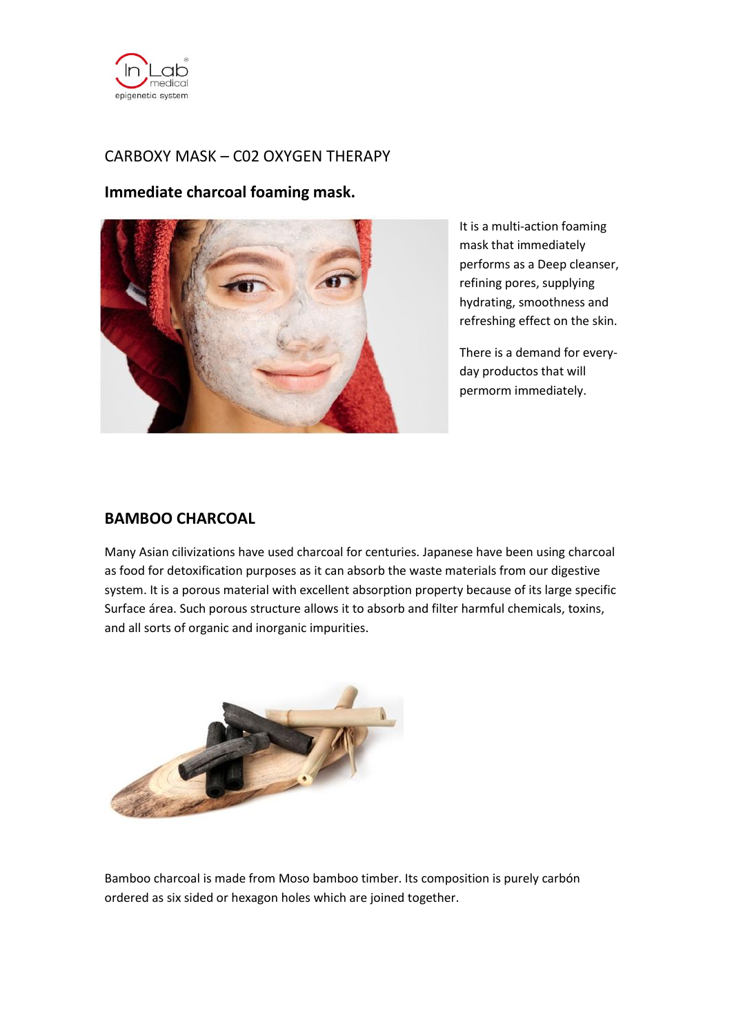

# CARBOXY MASK – C02 OXYGEN THERAPY

## **Immediate charcoal foaming mask.**



It is a multi-action foaming mask that immediately performs as a Deep cleanser, refining pores, supplying hydrating, smoothness and refreshing effect on the skin.

There is a demand for everyday productos that will permorm immediately.

### **BAMBOO CHARCOAL**

Many Asian cilivizations have used charcoal for centuries. Japanese have been using charcoal as food for detoxification purposes as it can absorb the waste materials from our digestive system. It is a porous material with excellent absorption property because of its large specific Surface área. Such porous structure allows it to absorb and filter harmful chemicals, toxins, and all sorts of organic and inorganic impurities.



Bamboo charcoal is made from Moso bamboo timber. Its composition is purely carbón ordered as six sided or hexagon holes which are joined together.